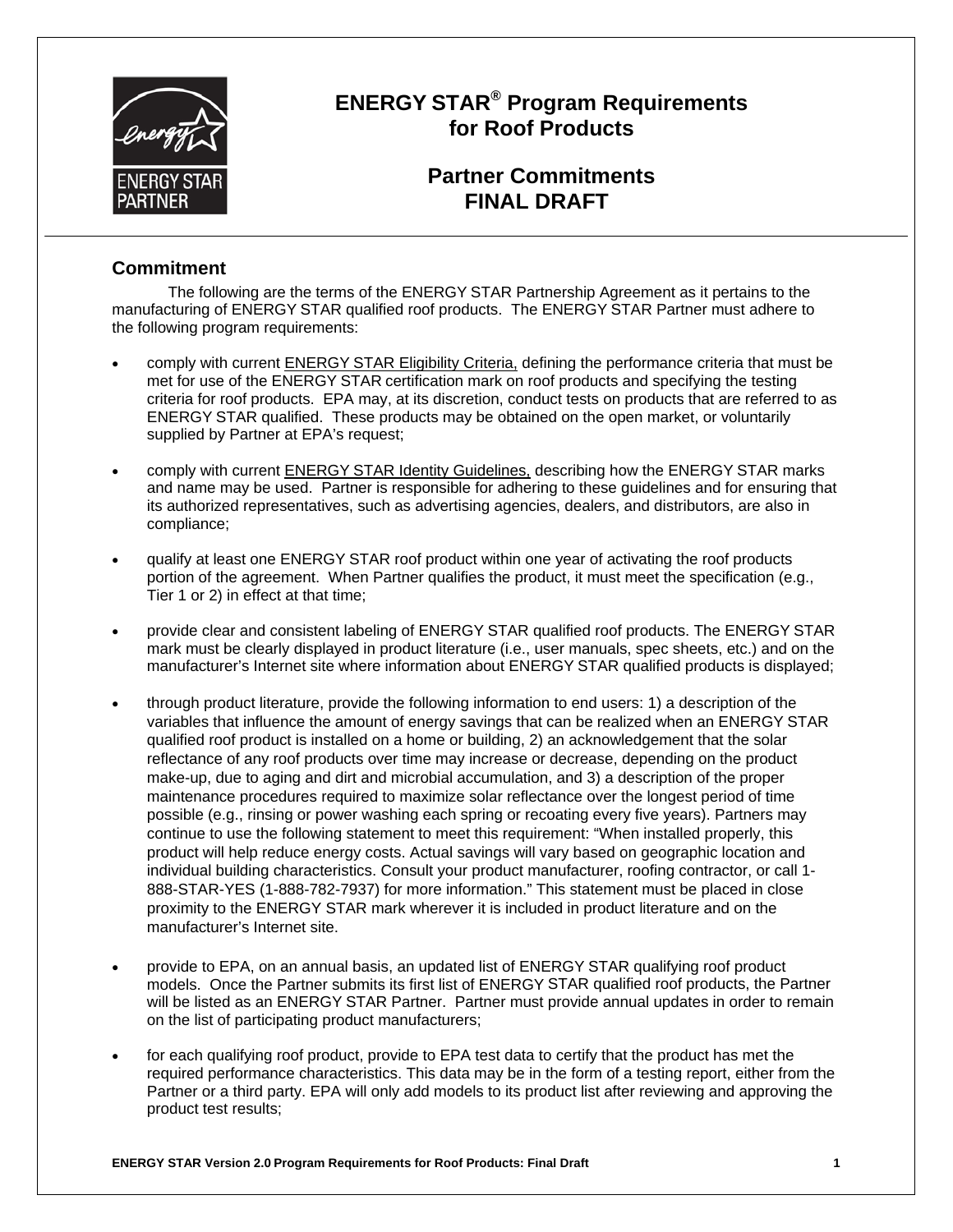

# **ENERGY STAR® Program Requirements for Roof Products**

# **Partner Commitments FINAL DRAFT**

## **Commitment**

The following are the terms of the ENERGY STAR Partnership Agreement as it pertains to the manufacturing of ENERGY STAR qualified roof products. The ENERGY STAR Partner must adhere to the following program requirements:

- comply with current **ENERGY STAR Eligibility Criteria**, defining the performance criteria that must be met for use of the ENERGY STAR certification mark on roof products and specifying the testing criteria for roof products. EPA may, at its discretion, conduct tests on products that are referred to as ENERGY STAR qualified. These products may be obtained on the open market, or voluntarily supplied by Partner at EPA's request;
- comply with current **ENERGY STAR Identity Guidelines**, describing how the ENERGY STAR marks and name may be used. Partner is responsible for adhering to these guidelines and for ensuring that its authorized representatives, such as advertising agencies, dealers, and distributors, are also in compliance;
- qualify at least one ENERGY STAR roof product within one year of activating the roof products portion of the agreement. When Partner qualifies the product, it must meet the specification (e.g., Tier 1 or 2) in effect at that time;
- provide clear and consistent labeling of ENERGY STAR qualified roof products. The ENERGY STAR mark must be clearly displayed in product literature (i.e., user manuals, spec sheets, etc.) and on the manufacturer's Internet site where information about ENERGY STAR qualified products is displayed;
- through product literature, provide the following information to end users: 1) a description of the variables that influence the amount of energy savings that can be realized when an ENERGY STAR qualified roof product is installed on a home or building, 2) an acknowledgement that the solar reflectance of any roof products over time may increase or decrease, depending on the product make-up, due to aging and dirt and microbial accumulation, and 3) a description of the proper maintenance procedures required to maximize solar reflectance over the longest period of time possible (e.g., rinsing or power washing each spring or recoating every five years). Partners may continue to use the following statement to meet this requirement: "When installed properly, this product will help reduce energy costs. Actual savings will vary based on geographic location and individual building characteristics. Consult your product manufacturer, roofing contractor, or call 1 888-STAR-YES (1-888-782-7937) for more information." This statement must be placed in close proximity to the ENERGY STAR mark wherever it is included in product literature and on the manufacturer's Internet site.
- provide to EPA, on an annual basis, an updated list of ENERGY STAR qualifying roof product models. Once the Partner submits its first list of ENERGY STAR qualified roof products, the Partner will be listed as an ENERGY STAR Partner. Partner must provide annual updates in order to remain on the list of participating product manufacturers;
- for each qualifying roof product, provide to EPA test data to certify that the product has met the required performance characteristics. This data may be in the form of a testing report, either from the Partner or a third party. EPA will only add models to its product list after reviewing and approving the product test results;

**ENERGY STAR Version 2.0 Program Requirements for Roof Products: Final Draft 1**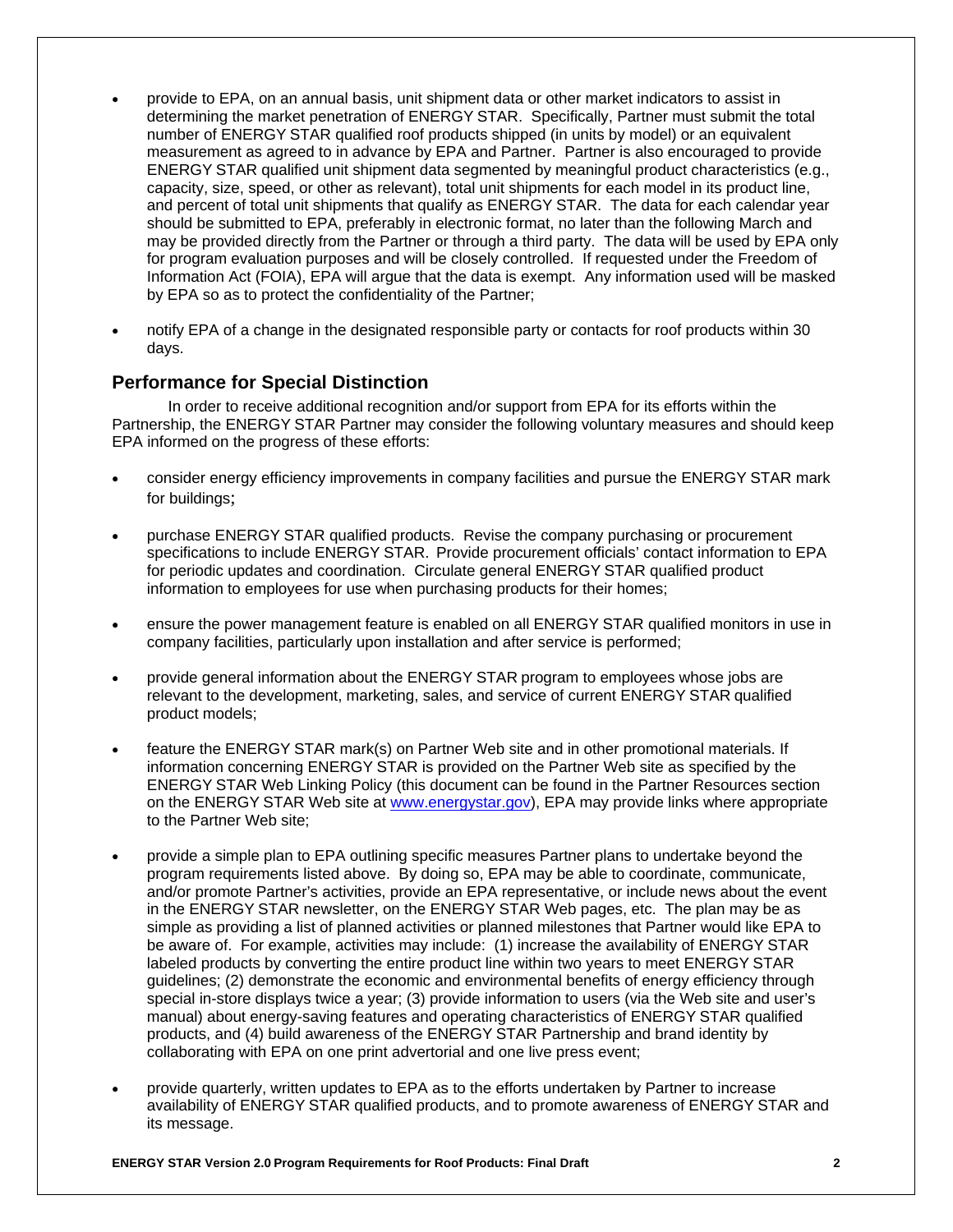- provide to EPA, on an annual basis, unit shipment data or other market indicators to assist in determining the market penetration of ENERGY STAR. Specifically, Partner must submit the total number of ENERGY STAR qualified roof products shipped (in units by model) or an equivalent measurement as agreed to in advance by EPA and Partner. Partner is also encouraged to provide ENERGY STAR qualified unit shipment data segmented by meaningful product characteristics (e.g., capacity, size, speed, or other as relevant), total unit shipments for each model in its product line, and percent of total unit shipments that qualify as ENERGY STAR. The data for each calendar year should be submitted to EPA, preferably in electronic format, no later than the following March and may be provided directly from the Partner or through a third party. The data will be used by EPA only for program evaluation purposes and will be closely controlled. If requested under the Freedom of Information Act (FOIA), EPA will argue that the data is exempt. Any information used will be masked by EPA so as to protect the confidentiality of the Partner;
- notify EPA of a change in the designated responsible party or contacts for roof products within 30 days.

## **Performance for Special Distinction**

In order to receive additional recognition and/or support from EPA for its efforts within the Partnership, the ENERGY STAR Partner may consider the following voluntary measures and should keep EPA informed on the progress of these efforts:

- consider energy efficiency improvements in company facilities and pursue the ENERGY STAR mark for buildings;
- purchase ENERGY STAR qualified products. Revise the company purchasing or procurement specifications to include ENERGY STAR. Provide procurement officials' contact information to EPA for periodic updates and coordination. Circulate general ENERGY STAR qualified product information to employees for use when purchasing products for their homes;
- ensure the power management feature is enabled on all ENERGY STAR qualified monitors in use in company facilities, particularly upon installation and after service is performed;
- provide general information about the ENERGY STAR program to employees whose jobs are relevant to the development, marketing, sales, and service of current ENERGY STAR qualified product models;
- feature the ENERGY STAR mark(s) on Partner Web site and in other promotional materials. If information concerning ENERGY STAR is provided on the Partner Web site as specified by the ENERGY STAR Web Linking Policy (this document can be found in the Partner Resources section on the ENERGY STAR Web site at www.energystar.gov), EPA may provide links where appropriate to the Partner Web site;
- provide a simple plan to EPA outlining specific measures Partner plans to undertake beyond the program requirements listed above. By doing so, EPA may be able to coordinate, communicate, and/or promote Partner's activities, provide an EPA representative, or include news about the event in the ENERGY STAR newsletter, on the ENERGY STAR Web pages, etc. The plan may be as simple as providing a list of planned activities or planned milestones that Partner would like EPA to be aware of. For example, activities may include: (1) increase the availability of ENERGY STAR labeled products by converting the entire product line within two years to meet ENERGY STAR guidelines; (2) demonstrate the economic and environmental benefits of energy efficiency through special in-store displays twice a year; (3) provide information to users (via the Web site and user's manual) about energy-saving features and operating characteristics of ENERGY STAR qualified products, and (4) build awareness of the ENERGY STAR Partnership and brand identity by collaborating with EPA on one print advertorial and one live press event;
- provide quarterly, written updates to EPA as to the efforts undertaken by Partner to increase availability of ENERGY STAR qualified products, and to promote awareness of ENERGY STAR and its message.

**ENERGY STAR Version 2.0 Program Requirements for Roof Products: Final Draft 2**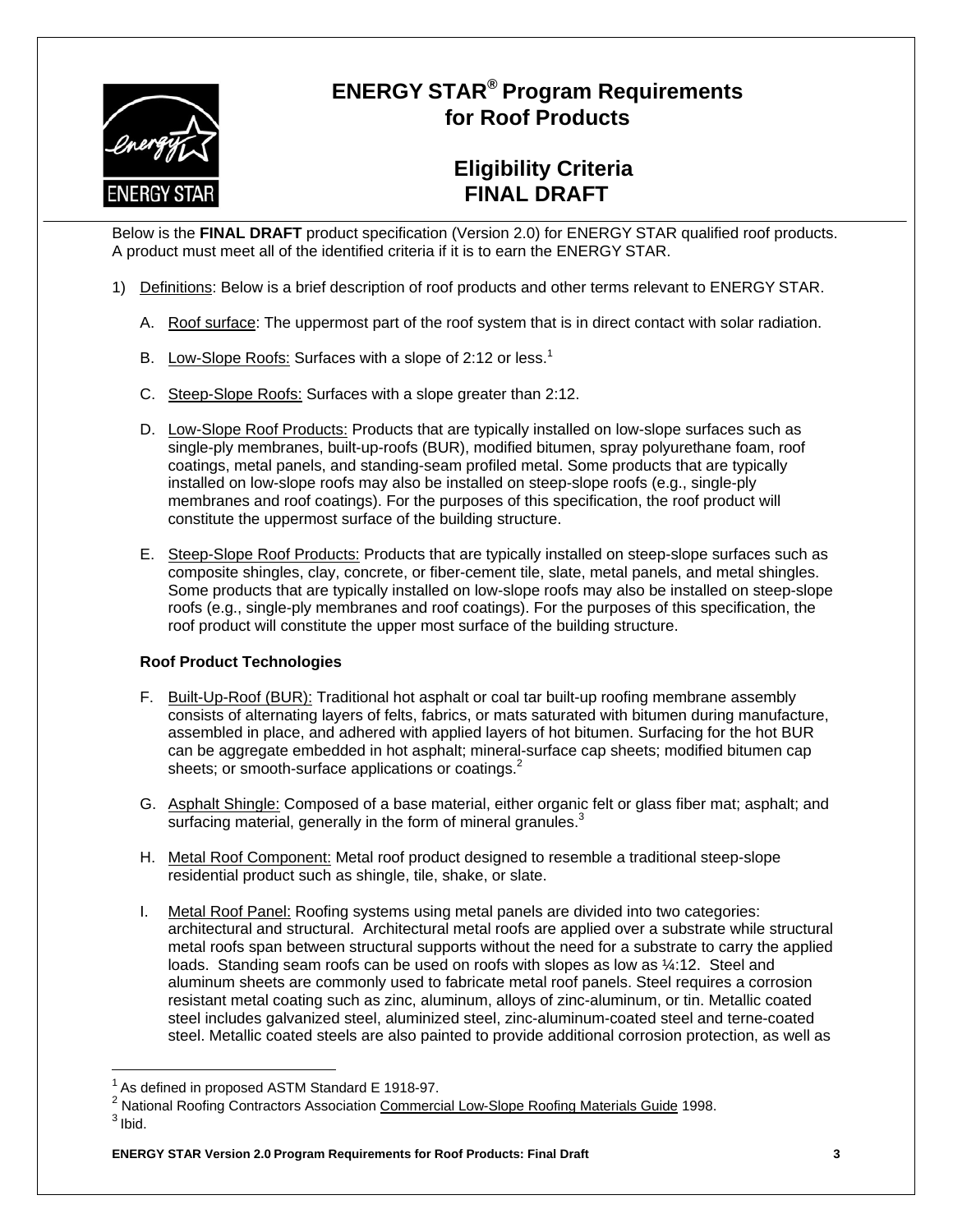

# **ENERGY STAR® Program Requirements for Roof Products**

# **Eligibility Criteria FINAL DRAFT**

Below is the **FINAL DRAFT** product specification (Version 2.0) for ENERGY STAR qualified roof products. A product must meet all of the identified criteria if it is to earn the ENERGY STAR.

- 1) Definitions: Below is a brief description of roof products and other terms relevant to ENERGY STAR.
	- A. Roof surface: The uppermost part of the roof system that is in direct contact with solar radiation.
	- B. Low-Slope Roofs: Surfaces with a slope of 2:12 or less.<sup>1</sup>
	- C. Steep-Slope Roofs: Surfaces with a slope greater than 2:12.
	- D. Low-Slope Roof Products: Products that are typically installed on low-slope surfaces such as single-ply membranes, built-up-roofs (BUR), modified bitumen, spray polyurethane foam, roof coatings, metal panels, and standing-seam profiled metal. Some products that are typically installed on low-slope roofs may also be installed on steep-slope roofs (e.g., single-ply membranes and roof coatings). For the purposes of this specification, the roof product will constitute the uppermost surface of the building structure.
	- E. Steep-Slope Roof Products: Products that are typically installed on steep-slope surfaces such as composite shingles, clay, concrete, or fiber-cement tile, slate, metal panels, and metal shingles. Some products that are typically installed on low-slope roofs may also be installed on steep-slope roofs (e.g., single-ply membranes and roof coatings). For the purposes of this specification, the roof product will constitute the upper most surface of the building structure.

#### **Roof Product Technologies**

- F. Built-Up-Roof (BUR): Traditional hot asphalt or coal tar built-up roofing membrane assembly consists of alternating layers of felts, fabrics, or mats saturated with bitumen during manufacture, assembled in place, and adhered with applied layers of hot bitumen. Surfacing for the hot BUR can be aggregate embedded in hot asphalt; mineral-surface cap sheets; modified bitumen cap sheets; or smooth-surface applications or coatings.<sup>2</sup>
- G. Asphalt Shingle: Composed of a base material, either organic felt or glass fiber mat; asphalt; and surfacing material, generally in the form of mineral granules. $3$
- H. Metal Roof Component: Metal roof product designed to resemble a traditional steep-slope residential product such as shingle, tile, shake, or slate.
- I. Metal Roof Panel: Roofing systems using metal panels are divided into two categories: architectural and structural. Architectural metal roofs are applied over a substrate while structural metal roofs span between structural supports without the need for a substrate to carry the applied loads. Standing seam roofs can be used on roofs with slopes as low as  $\frac{1}{4}$ :12. Steel and aluminum sheets are commonly used to fabricate metal roof panels. Steel requires a corrosion resistant metal coating such as zinc, aluminum, alloys of zinc-aluminum, or tin. Metallic coated steel includes galvanized steel, aluminized steel, zinc-aluminum-coated steel and terne-coated steel. Metallic coated steels are also painted to provide additional corrosion protection, as well as

<sup>2</sup> National Roofing Contractors Association Commercial Low-Slope Roofing Materials Guide 1998.

 $1$  As defined in proposed ASTM Standard E 1918-97.

 $3$  Ibid.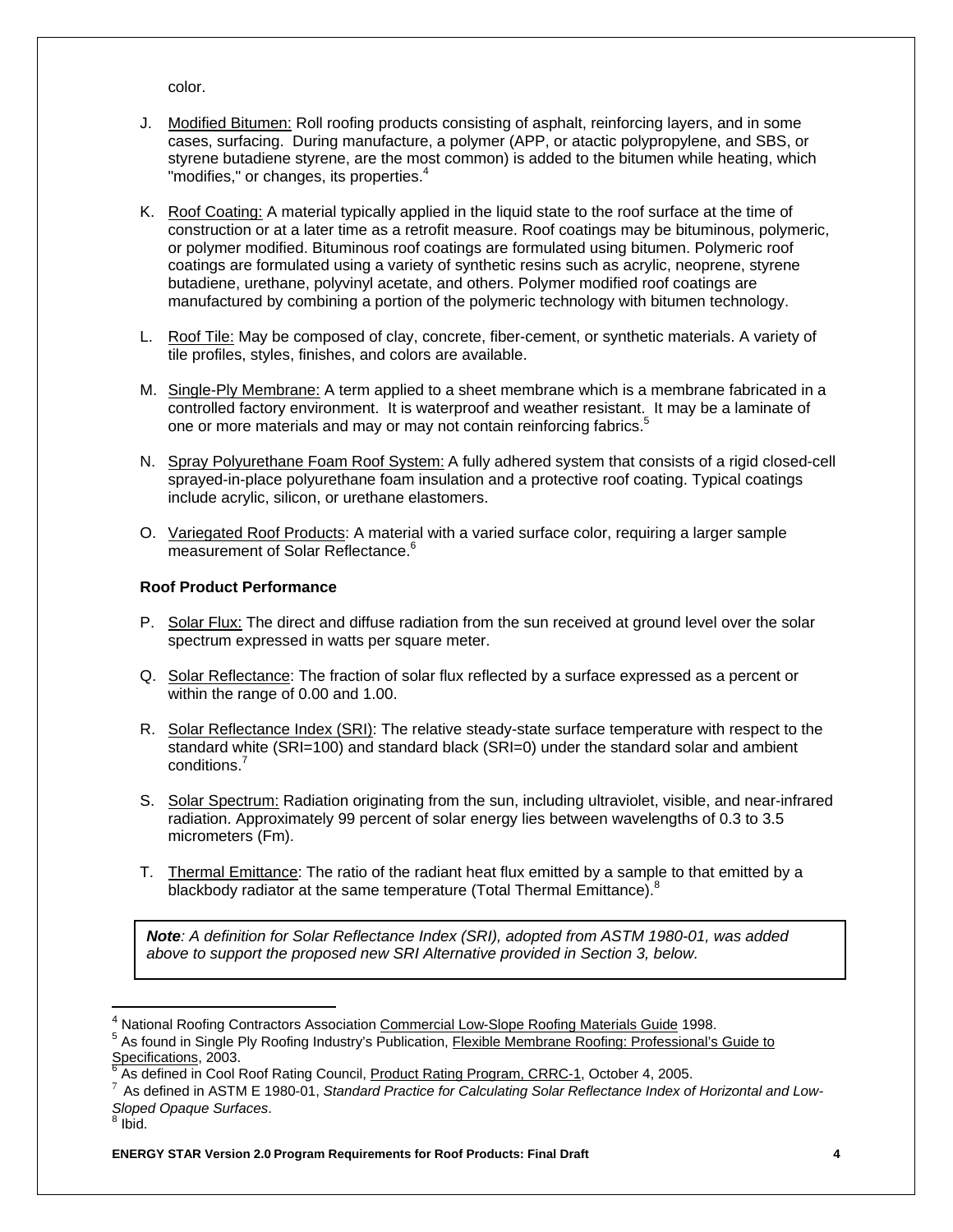color.

- J. Modified Bitumen: Roll roofing products consisting of asphalt, reinforcing layers, and in some cases, surfacing. During manufacture, a polymer (APP, or atactic polypropylene, and SBS, or styrene butadiene styrene, are the most common) is added to the bitumen while heating, which "modifies," or changes, its properties.<sup>4</sup>
- K. Roof Coating: A material typically applied in the liquid state to the roof surface at the time of construction or at a later time as a retrofit measure. Roof coatings may be bituminous, polymeric, or polymer modified. Bituminous roof coatings are formulated using bitumen. Polymeric roof coatings are formulated using a variety of synthetic resins such as acrylic, neoprene, styrene butadiene, urethane, polyvinyl acetate, and others. Polymer modified roof coatings are manufactured by combining a portion of the polymeric technology with bitumen technology.
- L. Roof Tile: May be composed of clay, concrete, fiber-cement, or synthetic materials. A variety of tile profiles, styles, finishes, and colors are available.
- M. Single-Ply Membrane: A term applied to a sheet membrane which is a membrane fabricated in a controlled factory environment. It is waterproof and weather resistant. It may be a laminate of one or more materials and may or may not contain reinforcing fabrics.<sup>5</sup>
- N. Spray Polyurethane Foam Roof System: A fully adhered system that consists of a rigid closed-cell sprayed-in-place polyurethane foam insulation and a protective roof coating. Typical coatings include acrylic, silicon, or urethane elastomers.
- O. Variegated Roof Products: A material with a varied surface color, requiring a larger sample measurement of Solar Reflectance.<sup>6</sup>

#### **Roof Product Performance**

- P. Solar Flux: The direct and diffuse radiation from the sun received at ground level over the solar spectrum expressed in watts per square meter.
- Q. Solar Reflectance: The fraction of solar flux reflected by a surface expressed as a percent or within the range of 0.00 and 1.00.
- R. Solar Reflectance Index (SRI): The relative steady-state surface temperature with respect to the standard white (SRI=100) and standard black (SRI=0) under the standard solar and ambient conditions.<sup>7</sup>
- S. Solar Spectrum: Radiation originating from the sun, including ultraviolet, visible, and near-infrared radiation. Approximately 99 percent of solar energy lies between wavelengths of 0.3 to 3.5 micrometers (Fm).
- T. Thermal Emittance: The ratio of the radiant heat flux emitted by a sample to that emitted by a blackbody radiator at the same temperature (Total Thermal Emittance).<sup>8</sup>

*Note: A definition for Solar Reflectance Index (SRI), adopted from ASTM 1980-01, was added above to support the proposed new SRI Alternative provided in Section 3, below.* 

<sup>&</sup>lt;sup>4</sup> National Roofing Contractors Association Commercial Low-Slope Roofing Materials Guide 1998.<br><sup>5</sup> As found in Single Ply Resting Industry's Publication, Floyible Mambress, Restingu Prefectional's

As found in Single Ply Roofing Industry's Publication, Flexible Membrane Roofing: Professional's Guide to Specifications, 2003.<br>
<sup>6</sup> As defined in Cool Roof Rating Council, Product Rating Program, CRRC-1, October 4, 2005.

As defined in ASTM E 1980-01, Standard Practice for Calculating Solar Reflectance Index of Horizontal and Low-**Sloped Opaque Surfaces.** 

 $8$  Ibid.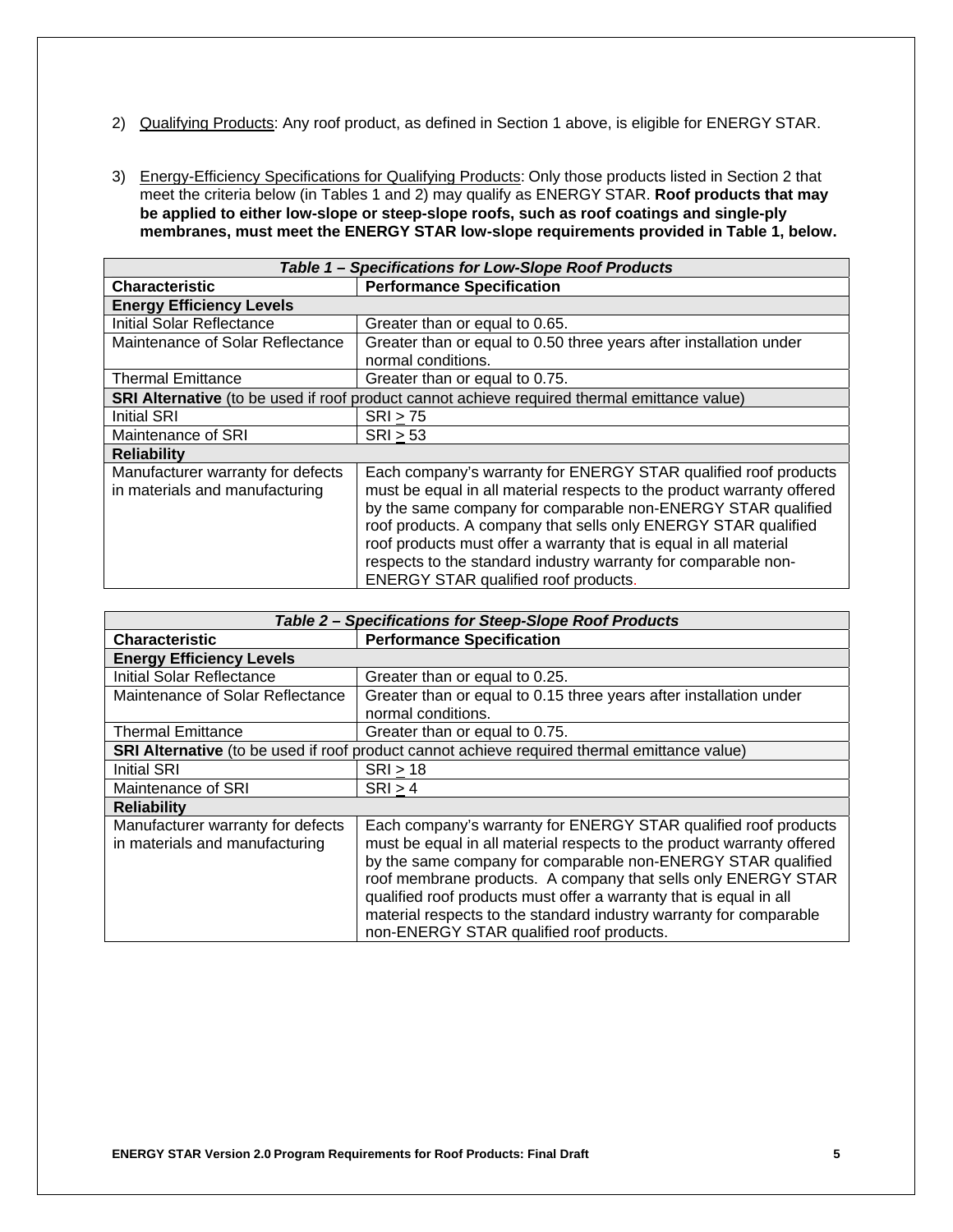- 2) Qualifying Products: Any roof product, as defined in Section 1 above, is eligible for ENERGY STAR.
- 3) Energy-Efficiency Specifications for Qualifying Products: Only those products listed in Section 2 that meet the criteria below (in Tables 1 and 2) may qualify as ENERGY STAR. **Roof products that may be applied to either low-slope or steep-slope roofs, such as roof coatings and single-ply membranes, must meet the ENERGY STAR low-slope requirements provided in Table 1, below.**

| Table 1 - Specifications for Low-Slope Roof Products                                         |                                                                                                                                                                                                                                                                                                                                                                                                                                                                   |  |
|----------------------------------------------------------------------------------------------|-------------------------------------------------------------------------------------------------------------------------------------------------------------------------------------------------------------------------------------------------------------------------------------------------------------------------------------------------------------------------------------------------------------------------------------------------------------------|--|
| <b>Characteristic</b>                                                                        | <b>Performance Specification</b>                                                                                                                                                                                                                                                                                                                                                                                                                                  |  |
| <b>Energy Efficiency Levels</b>                                                              |                                                                                                                                                                                                                                                                                                                                                                                                                                                                   |  |
| <b>Initial Solar Reflectance</b>                                                             | Greater than or equal to 0.65.                                                                                                                                                                                                                                                                                                                                                                                                                                    |  |
| Maintenance of Solar Reflectance                                                             | Greater than or equal to 0.50 three years after installation under                                                                                                                                                                                                                                                                                                                                                                                                |  |
|                                                                                              | normal conditions.                                                                                                                                                                                                                                                                                                                                                                                                                                                |  |
| <b>Thermal Emittance</b>                                                                     | Greater than or equal to 0.75.                                                                                                                                                                                                                                                                                                                                                                                                                                    |  |
| SRI Alternative (to be used if roof product cannot achieve required thermal emittance value) |                                                                                                                                                                                                                                                                                                                                                                                                                                                                   |  |
| <b>Initial SRI</b>                                                                           | SRI > 75                                                                                                                                                                                                                                                                                                                                                                                                                                                          |  |
| Maintenance of SRI                                                                           | SRI > 53                                                                                                                                                                                                                                                                                                                                                                                                                                                          |  |
| <b>Reliability</b>                                                                           |                                                                                                                                                                                                                                                                                                                                                                                                                                                                   |  |
| Manufacturer warranty for defects<br>in materials and manufacturing                          | Each company's warranty for ENERGY STAR qualified roof products<br>must be equal in all material respects to the product warranty offered<br>by the same company for comparable non-ENERGY STAR qualified<br>roof products. A company that sells only ENERGY STAR qualified<br>roof products must offer a warranty that is equal in all material<br>respects to the standard industry warranty for comparable non-<br><b>ENERGY STAR qualified roof products.</b> |  |

| Table 2 - Specifications for Steep-Slope Roof Products                                       |                                                                                                                                                                                                                                                                                                                                                                                                                                                                    |
|----------------------------------------------------------------------------------------------|--------------------------------------------------------------------------------------------------------------------------------------------------------------------------------------------------------------------------------------------------------------------------------------------------------------------------------------------------------------------------------------------------------------------------------------------------------------------|
| <b>Characteristic</b>                                                                        | <b>Performance Specification</b>                                                                                                                                                                                                                                                                                                                                                                                                                                   |
| <b>Energy Efficiency Levels</b>                                                              |                                                                                                                                                                                                                                                                                                                                                                                                                                                                    |
| Initial Solar Reflectance                                                                    | Greater than or equal to 0.25.                                                                                                                                                                                                                                                                                                                                                                                                                                     |
| Maintenance of Solar Reflectance                                                             | Greater than or equal to 0.15 three years after installation under<br>normal conditions.                                                                                                                                                                                                                                                                                                                                                                           |
| <b>Thermal Emittance</b>                                                                     | Greater than or equal to 0.75.                                                                                                                                                                                                                                                                                                                                                                                                                                     |
| SRI Alternative (to be used if roof product cannot achieve required thermal emittance value) |                                                                                                                                                                                                                                                                                                                                                                                                                                                                    |
| <b>Initial SRI</b>                                                                           | SRI > 18                                                                                                                                                                                                                                                                                                                                                                                                                                                           |
| Maintenance of SRI                                                                           | SRI > 4                                                                                                                                                                                                                                                                                                                                                                                                                                                            |
| <b>Reliability</b>                                                                           |                                                                                                                                                                                                                                                                                                                                                                                                                                                                    |
| Manufacturer warranty for defects<br>in materials and manufacturing                          | Each company's warranty for ENERGY STAR qualified roof products<br>must be equal in all material respects to the product warranty offered<br>by the same company for comparable non-ENERGY STAR qualified<br>roof membrane products. A company that sells only ENERGY STAR<br>qualified roof products must offer a warranty that is equal in all<br>material respects to the standard industry warranty for comparable<br>non-ENERGY STAR qualified roof products. |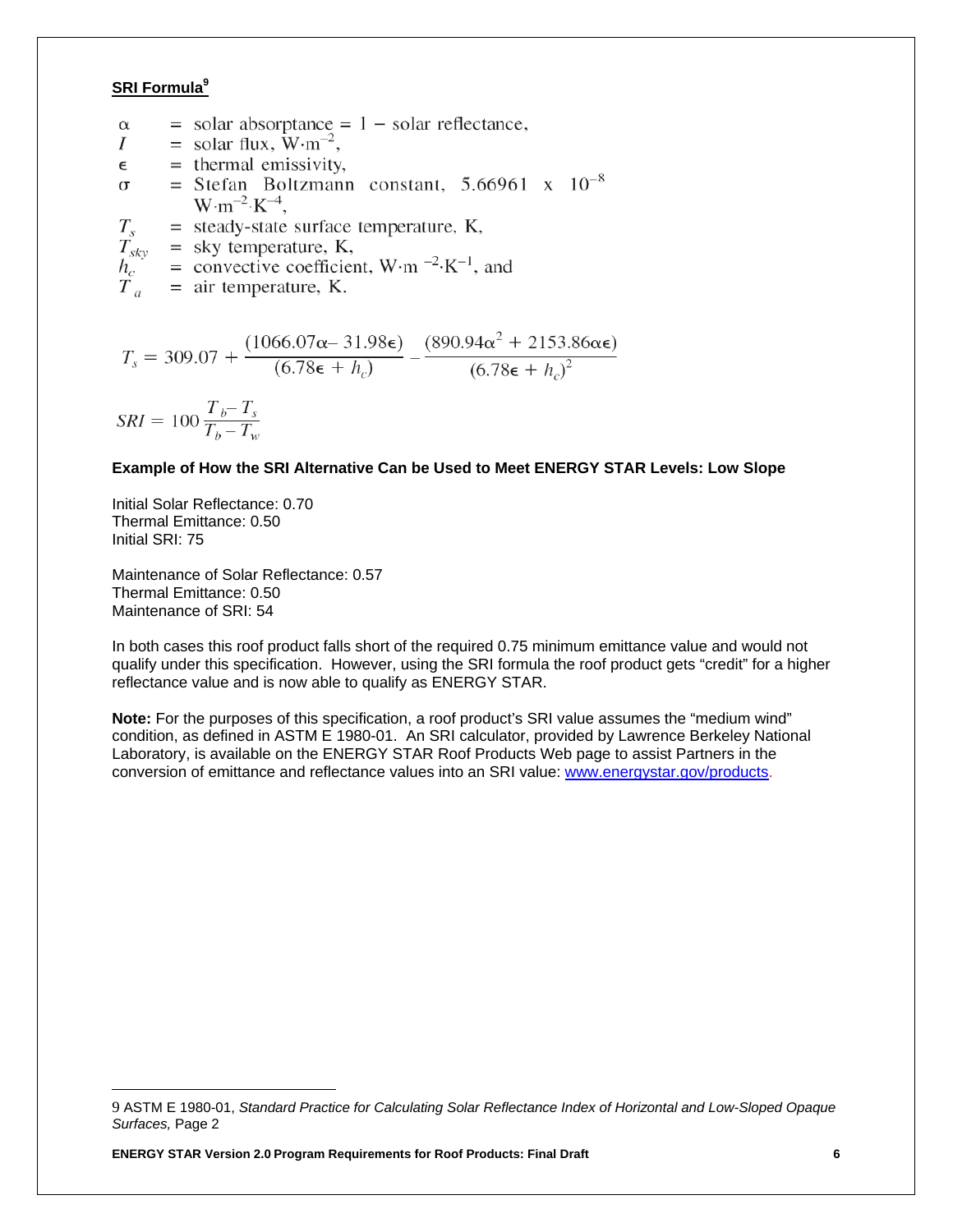### **SRI Formula9**

 $=$  solar absorptance  $= 1 -$  solar reflectance,  $\alpha$  $=$  solar flux,  $\rm{W}\cdot m^{-2}$ ,  $I$  $=$  thermal emissivity,  $\epsilon$ = Stefan Boltzmann constant, 5.66961 x  $10^{-8}$  $\sigma$  –  $W \cdot m^{-2} \cdot K^{-4}$ ,  $=$  steady-state surface temperature, K,  $T_{s}$  $T_{sky}$  = sky temperature, K, = convective coefficient, W·m<sup>-2</sup>·K<sup>-1</sup>, and  $h_c$  $\tilde{T}_{a}$  $=$  air temperature, K.

$$
T_s = 309.07 + \frac{(1066.07\alpha - 31.98\epsilon)}{(6.78\epsilon + h_c)} - \frac{(890.94\alpha^2 + 2153.86\alpha\epsilon)}{(6.78\epsilon + h_c)^2}
$$

$$
SRI = 100 \frac{T_b - T_s}{T_b - T_w}
$$

#### **Example of How the SRI Alternative Can be Used to Meet ENERGY STAR Levels: Low Slope**

Initial Solar Reflectance: 0.70 Thermal Emittance: 0.50 Initial SRI: 75

Maintenance of Solar Reflectance: 0.57 Thermal Emittance: 0.50 Maintenance of SRI: 54

In both cases this roof product falls short of the required 0.75 minimum emittance value and would not qualify under this specification. However, using the SRI formula the roof product gets "credit" for a higher reflectance value and is now able to qualify as ENERGY STAR.

**Note:** For the purposes of this specification, a roof product's SRI value assumes the "medium wind" condition, as defined in ASTM E 1980-01. An SRI calculator, provided by Lawrence Berkeley National Laboratory, is available on the ENERGY STAR Roof Products Web page to assist Partners in the conversion of emittance and reflectance values into an SRI value: www.energystar.gov/products.

<sup>9</sup> ASTM E 1980-01, *Standard Practice for Calculating Solar Reflectance Index of Horizontal and Low-Sloped Opaque Surfaces,* Page 2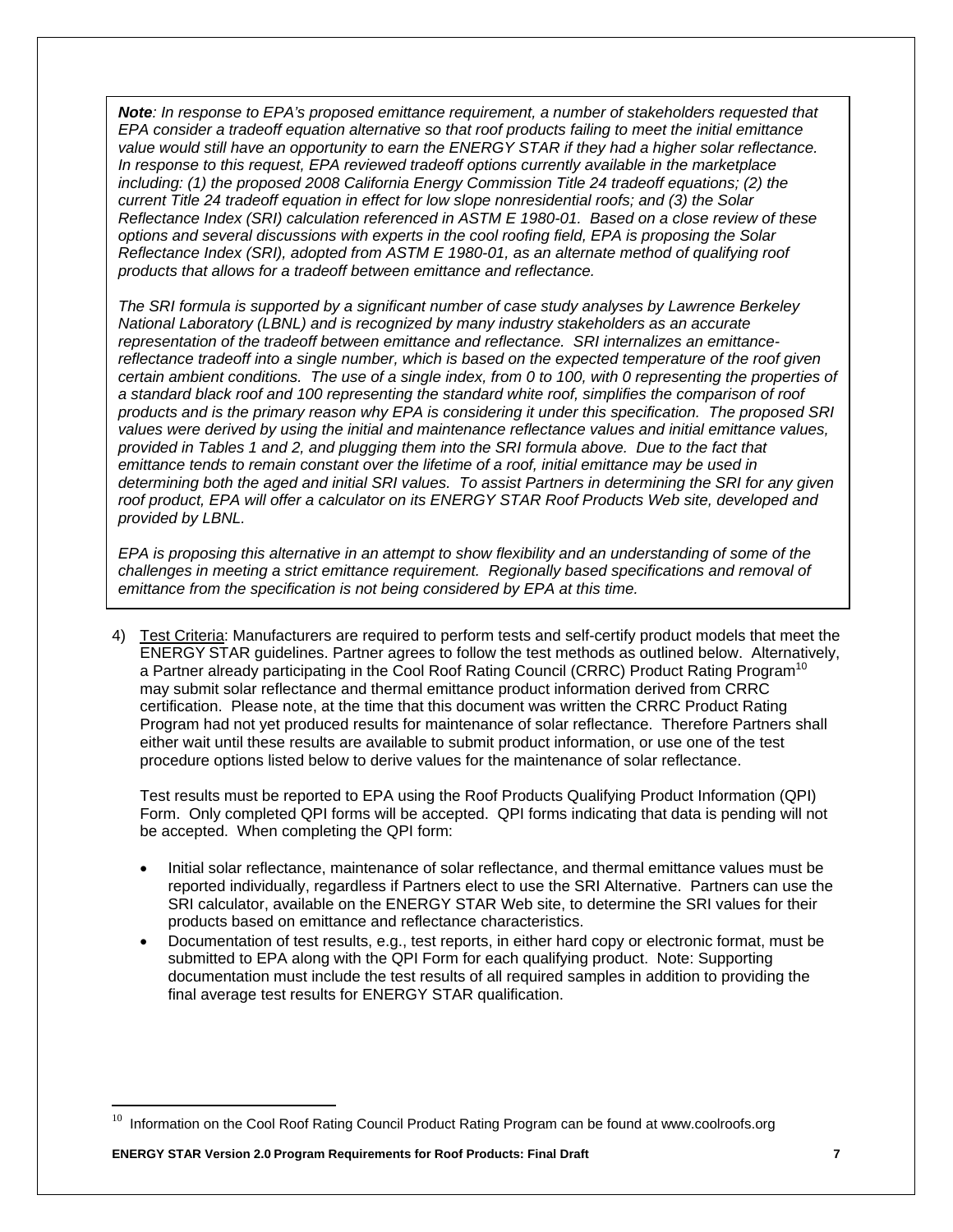*Note: In response to EPA's proposed emittance requirement, a number of stakeholders requested that EPA consider a tradeoff equation alternative so that roof products failing to meet the initial emittance value would still have an opportunity to earn the ENERGY STAR if they had a higher solar reflectance. In response to this request, EPA reviewed tradeoff options currently available in the marketplace including: (1) the proposed 2008 California Energy Commission Title 24 tradeoff equations; (2) the current Title 24 tradeoff equation in effect for low slope nonresidential roofs; and (3) the Solar Reflectance Index (SRI) calculation referenced in ASTM E 1980-01. Based on a close review of these options and several discussions with experts in the cool roofing field, EPA is proposing the Solar Reflectance Index (SRI), adopted from ASTM E 1980-01, as an alternate method of qualifying roof products that allows for a tradeoff between emittance and reflectance.* 

*The SRI formula is supported by a significant number of case study analyses by Lawrence Berkeley National Laboratory (LBNL) and is recognized by many industry stakeholders as an accurate representation of the tradeoff between emittance and reflectance. SRI internalizes an emittancereflectance tradeoff into a single number, which is based on the expected temperature of the roof given certain ambient conditions. The use of a single index, from 0 to 100, with 0 representing the properties of a standard black roof and 100 representing the standard white roof, simplifies the comparison of roof products and is the primary reason why EPA is considering it under this specification. The proposed SRI values were derived by using the initial and maintenance reflectance values and initial emittance values, provided in Tables 1 and 2, and plugging them into the SRI formula above. Due to the fact that emittance tends to remain constant over the lifetime of a roof, initial emittance may be used in determining both the aged and initial SRI values. To assist Partners in determining the SRI for any given roof product, EPA will offer a calculator on its ENERGY STAR Roof Products Web site, developed and provided by LBNL.* 

*EPA is proposing this alternative in an attempt to show flexibility and an understanding of some of the challenges in meeting a strict emittance requirement. Regionally based specifications and removal of emittance from the specification is not being considered by EPA at this time.* 

4) Test Criteria: Manufacturers are required to perform tests and self-certify product models that meet the ENERGY STAR guidelines. Partner agrees to follow the test methods as outlined below. Alternatively, a Partner already participating in the Cool Roof Rating Council (CRRC) Product Rating Program<sup>10</sup> may submit solar reflectance and thermal emittance product information derived from CRRC certification. Please note, at the time that this document was written the CRRC Product Rating Program had not yet produced results for maintenance of solar reflectance. Therefore Partners shall either wait until these results are available to submit product information, or use one of the test procedure options listed below to derive values for the maintenance of solar reflectance.

Test results must be reported to EPA using the Roof Products Qualifying Product Information (QPI) Form. Only completed QPI forms will be accepted. QPI forms indicating that data is pending will not be accepted. When completing the QPI form:

- Initial solar reflectance, maintenance of solar reflectance, and thermal emittance values must be reported individually, regardless if Partners elect to use the SRI Alternative. Partners can use the SRI calculator, available on the ENERGY STAR Web site, to determine the SRI values for their products based on emittance and reflectance characteristics.
- Documentation of test results, e.g., test reports, in either hard copy or electronic format, must be submitted to EPA along with the QPI Form for each qualifying product. Note: Supporting documentation must include the test results of all required samples in addition to providing the final average test results for ENERGY STAR qualification.

 $^{10}$  Information on the Cool Roof Rating Council Product Rating Program can be found at www.coolroofs.org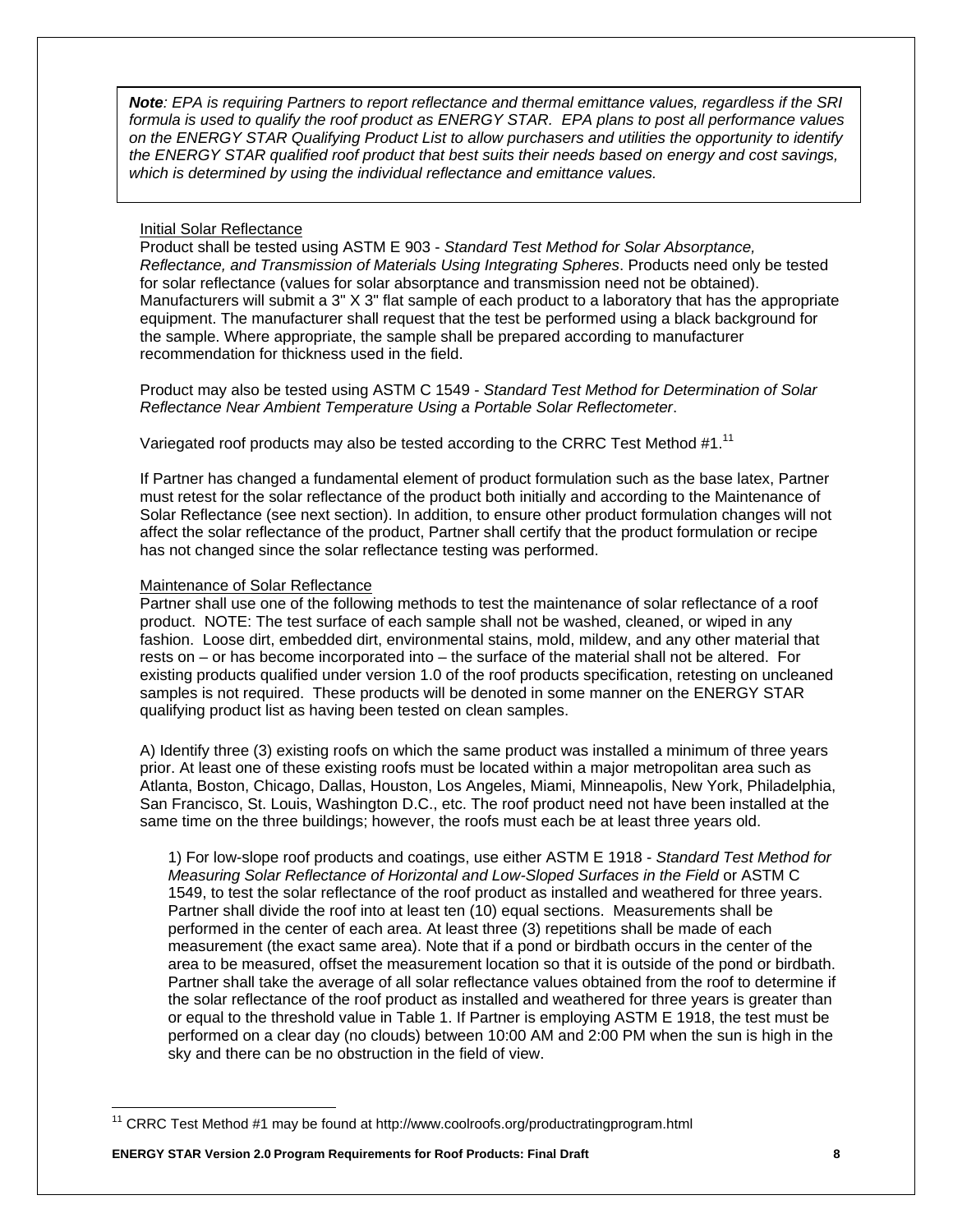*Note: EPA is requiring Partners to report reflectance and thermal emittance values, regardless if the SRI formula is used to qualify the roof product as ENERGY STAR. EPA plans to post all performance values on the ENERGY STAR Qualifying Product List to allow purchasers and utilities the opportunity to identify the ENERGY STAR qualified roof product that best suits their needs based on energy and cost savings, which is determined by using the individual reflectance and emittance values.* 

#### Initial Solar Reflectance

Product shall be tested using ASTM E 903 - *Standard Test Method for Solar Absorptance, Reflectance, and Transmission of Materials Using Integrating Spheres*. Products need only be tested for solar reflectance (values for solar absorptance and transmission need not be obtained). Manufacturers will submit a 3" X 3" flat sample of each product to a laboratory that has the appropriate equipment. The manufacturer shall request that the test be performed using a black background for the sample. Where appropriate, the sample shall be prepared according to manufacturer recommendation for thickness used in the field.

Product may also be tested using ASTM C 1549 - *Standard Test Method for Determination of Solar Reflectance Near Ambient Temperature Using a Portable Solar Reflectometer*.

Variegated roof products may also be tested according to the CRRC Test Method #1.<sup>11</sup>

If Partner has changed a fundamental element of product formulation such as the base latex, Partner must retest for the solar reflectance of the product both initially and according to the Maintenance of Solar Reflectance (see next section). In addition, to ensure other product formulation changes will not affect the solar reflectance of the product, Partner shall certify that the product formulation or recipe has not changed since the solar reflectance testing was performed.

#### Maintenance of Solar Reflectance

Partner shall use one of the following methods to test the maintenance of solar reflectance of a roof product. NOTE: The test surface of each sample shall not be washed, cleaned, or wiped in any fashion. Loose dirt, embedded dirt, environmental stains, mold, mildew, and any other material that rests on – or has become incorporated into – the surface of the material shall not be altered. For existing products qualified under version 1.0 of the roof products specification, retesting on uncleaned samples is not required. These products will be denoted in some manner on the ENERGY STAR qualifying product list as having been tested on clean samples.

A) Identify three (3) existing roofs on which the same product was installed a minimum of three years prior. At least one of these existing roofs must be located within a major metropolitan area such as Atlanta, Boston, Chicago, Dallas, Houston, Los Angeles, Miami, Minneapolis, New York, Philadelphia, San Francisco, St. Louis, Washington D.C., etc. The roof product need not have been installed at the same time on the three buildings; however, the roofs must each be at least three years old.

1) For low-slope roof products and coatings, use either ASTM E 1918 - *Standard Test Method for Measuring Solar Reflectance of Horizontal and Low-Sloped Surfaces in the Field* or ASTM C 1549, to test the solar reflectance of the roof product as installed and weathered for three years. Partner shall divide the roof into at least ten (10) equal sections. Measurements shall be performed in the center of each area. At least three (3) repetitions shall be made of each measurement (the exact same area). Note that if a pond or birdbath occurs in the center of the area to be measured, offset the measurement location so that it is outside of the pond or birdbath. Partner shall take the average of all solar reflectance values obtained from the roof to determine if the solar reflectance of the roof product as installed and weathered for three years is greater than or equal to the threshold value in Table 1. If Partner is employing ASTM E 1918, the test must be performed on a clear day (no clouds) between 10:00 AM and 2:00 PM when the sun is high in the sky and there can be no obstruction in the field of view.

<sup>&</sup>lt;sup>11</sup> CRRC Test Method #1 may be found at http://www.coolroofs.org/productratingprogram.html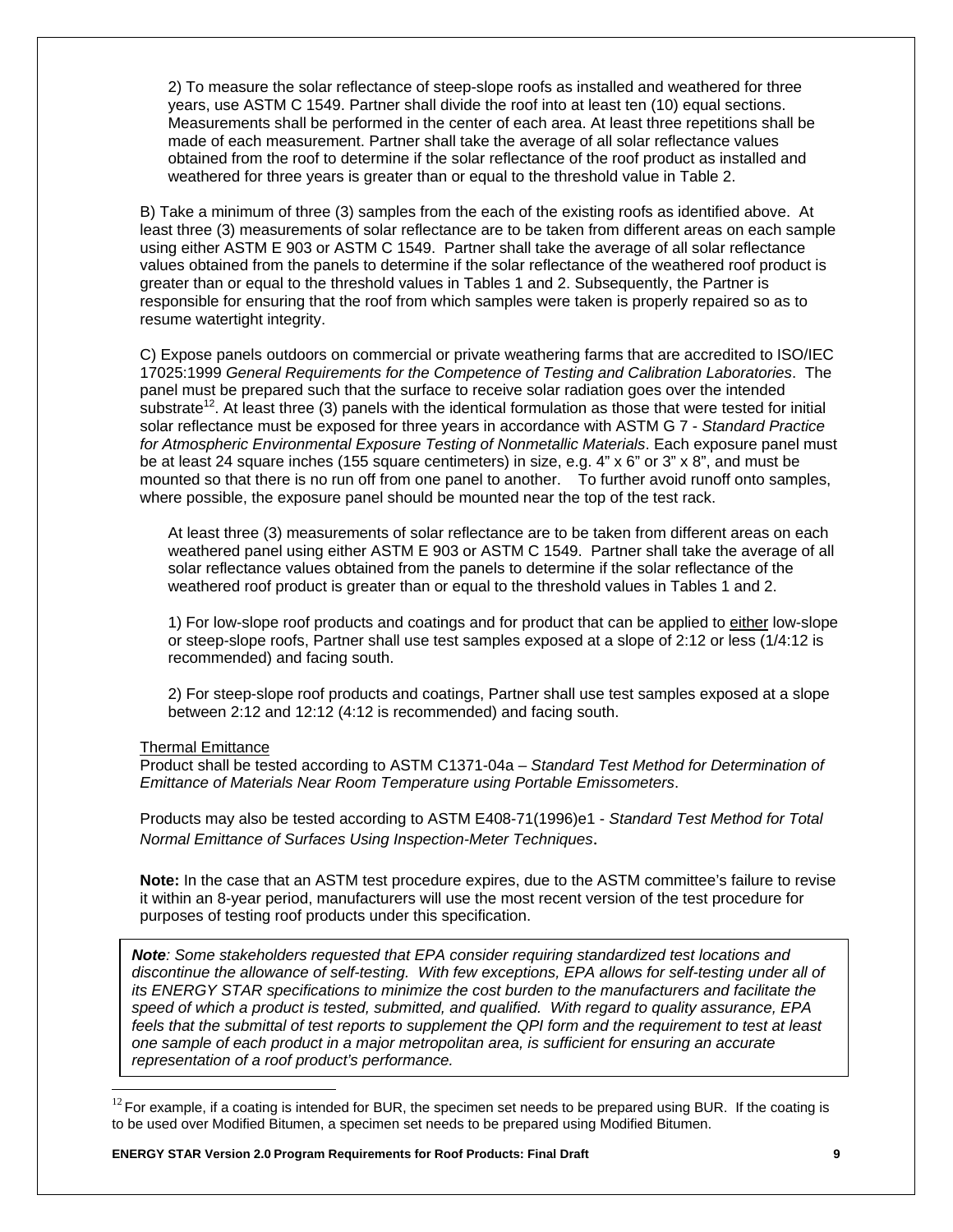2) To measure the solar reflectance of steep-slope roofs as installed and weathered for three years, use ASTM C 1549. Partner shall divide the roof into at least ten (10) equal sections. Measurements shall be performed in the center of each area. At least three repetitions shall be made of each measurement. Partner shall take the average of all solar reflectance values obtained from the roof to determine if the solar reflectance of the roof product as installed and weathered for three years is greater than or equal to the threshold value in Table 2.

B) Take a minimum of three (3) samples from the each of the existing roofs as identified above. At least three (3) measurements of solar reflectance are to be taken from different areas on each sample using either ASTM E 903 or ASTM C 1549. Partner shall take the average of all solar reflectance values obtained from the panels to determine if the solar reflectance of the weathered roof product is greater than or equal to the threshold values in Tables 1 and 2. Subsequently, the Partner is responsible for ensuring that the roof from which samples were taken is properly repaired so as to resume watertight integrity.

C) Expose panels outdoors on commercial or private weathering farms that are accredited to ISO/IEC 17025:1999 *General Requirements for the Competence of Testing and Calibration Laboratories*. The panel must be prepared such that the surface to receive solar radiation goes over the intended substrate<sup>12</sup>. At least three (3) panels with the identical formulation as those that were tested for initial solar reflectance must be exposed for three years in accordance with ASTM G 7 - *Standard Practice for Atmospheric Environmental Exposure Testing of Nonmetallic Materials*. Each exposure panel must be at least 24 square inches (155 square centimeters) in size, e.g. 4" x 6" or 3" x 8", and must be mounted so that there is no run off from one panel to another. To further avoid runoff onto samples, where possible, the exposure panel should be mounted near the top of the test rack.

At least three (3) measurements of solar reflectance are to be taken from different areas on each weathered panel using either ASTM E 903 or ASTM C 1549. Partner shall take the average of all solar reflectance values obtained from the panels to determine if the solar reflectance of the weathered roof product is greater than or equal to the threshold values in Tables 1 and 2.

1) For low-slope roof products and coatings and for product that can be applied to either low-slope or steep-slope roofs, Partner shall use test samples exposed at a slope of 2:12 or less (1/4:12 is recommended) and facing south.

2) For steep-slope roof products and coatings, Partner shall use test samples exposed at a slope between 2:12 and 12:12 (4:12 is recommended) and facing south.

#### Thermal Emittance

Product shall be tested according to ASTM C1371-04a – *Standard Test Method for Determination of Emittance of Materials Near Room Temperature using Portable Emissometers*.

Products may also be tested according to ASTM E408-71(1996)e1 - *Standard Test Method for Total Normal Emittance of Surfaces Using Inspection-Meter Techniques*.

**Note:** In the case that an ASTM test procedure expires, due to the ASTM committee's failure to revise it within an 8-year period, manufacturers will use the most recent version of the test procedure for purposes of testing roof products under this specification.

*Note: Some stakeholders requested that EPA consider requiring standardized test locations and discontinue the allowance of self-testing. With few exceptions, EPA allows for self-testing under all of its ENERGY STAR specifications to minimize the cost burden to the manufacturers and facilitate the speed of which a product is tested, submitted, and qualified. With regard to quality assurance, EPA feels that the submittal of test reports to supplement the QPI form and the requirement to test at least one sample of each product in a major metropolitan area, is sufficient for ensuring an accurate representation of a roof product's performance.* 

 $12$  For example, if a coating is intended for BUR, the specimen set needs to be prepared using BUR. If the coating is to be used over Modified Bitumen, a specimen set needs to be prepared using Modified Bitumen.